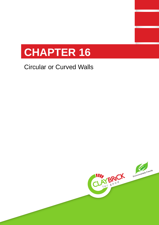

# Circular or Curved Walls

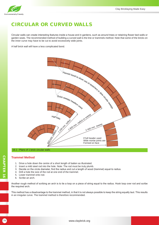

## CIRCULAR OR CURVED WALLS

Circular walls can create interesting features inside a house and in gardens, such as around trees or retaining flower bed walls or garden seats. The recommended method of building a curved wall is the line or trammels method. Note that some of the bricks on the inner curve may have to be cut to avoid excessively wide joints.

A half brick wall will have a less complicated bond.





### **Trammel Method**

- 1. Drive a hole down the centre of a short length of batten as illustrated.
- 2. Insert a mild steel rod into the hole. Note: The rod must be truly plumb.
- 3. Decide on the circle diameter, find the radius and cut a length of wood (trammel) equal to radius.
- 4. Drill a hole the size of the rod at one end of the trammel.
- 5. Lower trammel onto rod.
- 6. Scribe an arch.

Another rough method of scribing an arch is to tie a loop on a piece of string equal to the radius. Hook loop over rod and scribe the required arch.

Trammel Method<br>
1. Drive a hole down the centre of a short length of batten as illustrate<br>
2. Insert a mild steel rod into the hole. Note: The rod must be truly plu<br>
3. Decide on the circle diameter, find the radius and cu This method has a disadvantage to the trammel method, in that it is not always possible to keep the string equally taut. This results in an irregular curve. The trammel method is therefore recommended.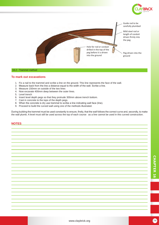

Guide rod to be carefully plumbed

Mild steel rod or length of conduit driven firmly into the peg

Peg driven into the ground

#### 16.2 - Trammel method

#### **To mark out excavations**

- 1. Fix a nail to the trammel and scribe a line on the ground. This line represents the face of the wall.
- 2. Measure back from the line a distance equal to the width of the wall. Scribe a line.
- 3. Measure 150mm on outside of the two lines
- 4. Now excavate 400mm deep between the outer lines.
- 5. Level trench
- 6. Insert level depth pegs so that they protrude 300mm above trench bottom.
- 7. Cast in concrete to the tops of the depth pegs.
- 8. When the concrete is dry use trammel to scribe a line indicating wall face (line).
- 9. Proceed to build the curved wall using one of the methods illustrated.

During building the trammel must be used constantly to ensure, firstly, that the wall follows the correct curve and, secondly, to make the wall plumb. A level must still be used across the top of each course as a line cannot be used in this curved construction.

Hole for rod or conduit drilled in the top of the peg before it is driven into the ground

#### **NOTES**